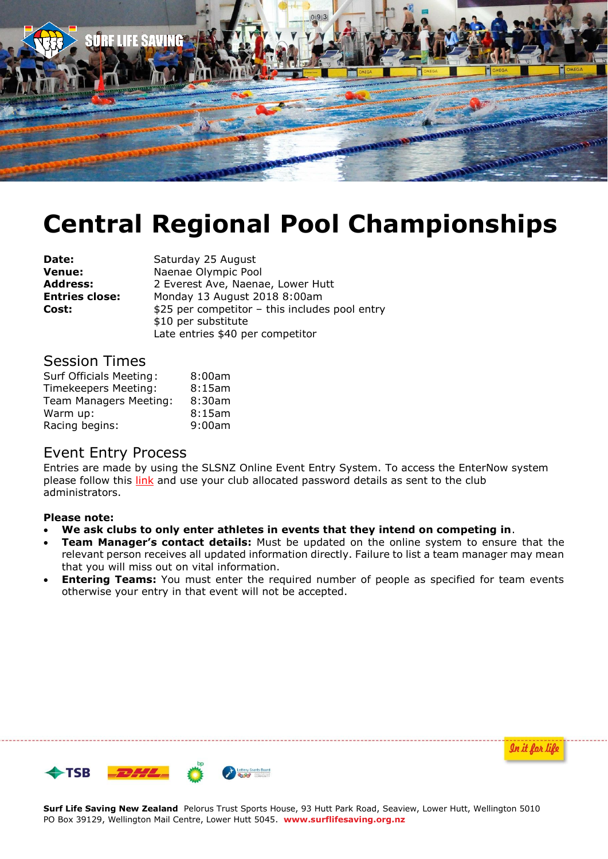

# **Central Regional Pool Championships**

| Date:          | Saturday 25 August                              |
|----------------|-------------------------------------------------|
| <b>Venue:</b>  | Naenae Olympic Pool                             |
| Address:       | 2 Everest Ave, Naenae, Lower Hutt               |
| Entries close: | Monday 13 August 2018 8:00am                    |
| <b>Cost:</b>   | $$25$ per competitor - this includes pool entry |
|                | \$10 per substitute                             |
|                | Late entries \$40 per competitor                |

### Session Times

| <b>Surf Officials Meeting:</b> | 8:00am |
|--------------------------------|--------|
| Timekeepers Meeting:           | 8:15am |
| Team Managers Meeting:         | 8:30am |
| Warm up:                       | 8:15am |
| Racing begins:                 | 9:00am |

#### Event Entry Process

Entries are made by using the SLSNZ Online Event Entry System. To access the EnterNow system please follow this [link](http://slsnz.enternow.co.nz/enternow-app/slsnz) and use your club allocated password details as sent to the club administrators.

#### **Please note:**

- **We ask clubs to only enter athletes in events that they intend on competing in**.
- **Team Manager's contact details:** Must be updated on the online system to ensure that the relevant person receives all updated information directly. Failure to list a team manager may mean that you will miss out on vital information.
- **Entering Teams:** You must enter the required number of people as specified for team events otherwise your entry in that event will not be accepted.



**Surf Life Saving New Zealand** Pelorus Trust Sports House, 93 Hutt Park Road, Seaview, Lower Hutt, Wellington 5010 PO Box 39129, Wellington Mail Centre, Lower Hutt 5045. **www.surflifesaving.org.nz**

In it for li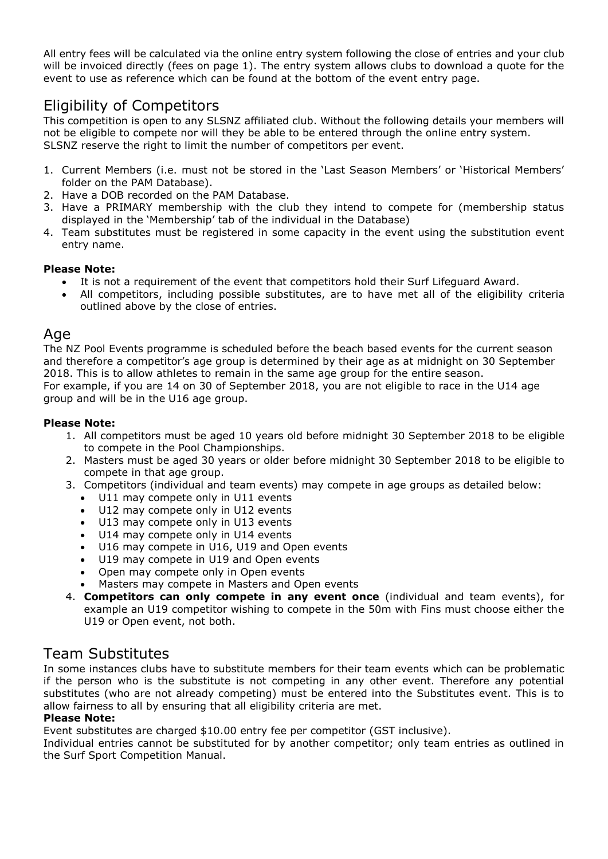All entry fees will be calculated via the online entry system following the close of entries and your club will be invoiced directly (fees on page 1). The entry system allows clubs to download a quote for the event to use as reference which can be found at the bottom of the event entry page.

## Eligibility of Competitors

This competition is open to any SLSNZ affiliated club. Without the following details your members will not be eligible to compete nor will they be able to be entered through the online entry system. SLSNZ reserve the right to limit the number of competitors per event.

- 1. Current Members (i.e. must not be stored in the 'Last Season Members' or 'Historical Members' folder on the PAM Database).
- 2. Have a DOB recorded on the PAM Database.
- 3. Have a PRIMARY membership with the club they intend to compete for (membership status displayed in the 'Membership' tab of the individual in the Database)
- 4. Team substitutes must be registered in some capacity in the event using the substitution event entry name.

#### **Please Note:**

- It is not a requirement of the event that competitors hold their Surf Lifeguard Award.
- All competitors, including possible substitutes, are to have met all of the eligibility criteria outlined above by the close of entries.

#### Age

The NZ Pool Events programme is scheduled before the beach based events for the current season and therefore a competitor's age group is determined by their age as at midnight on 30 September 2018. This is to allow athletes to remain in the same age group for the entire season. For example, if you are 14 on 30 of September 2018, you are not eligible to race in the U14 age

group and will be in the U16 age group.

#### **Please Note:**

- 1. All competitors must be aged 10 years old before midnight 30 September 2018 to be eligible to compete in the Pool Championships.
- 2. Masters must be aged 30 years or older before midnight 30 September 2018 to be eligible to compete in that age group.
- 3. Competitors (individual and team events) may compete in age groups as detailed below:
	- U11 may compete only in U11 events
	- U12 may compete only in U12 events
	- U13 may compete only in U13 events
	- U14 may compete only in U14 events
	- U16 may compete in U16, U19 and Open events
	- U19 may compete in U19 and Open events
	- Open may compete only in Open events
	- Masters may compete in Masters and Open events
- 4. **Competitors can only compete in any event once** (individual and team events), for example an U19 competitor wishing to compete in the 50m with Fins must choose either the U19 or Open event, not both.

## Team Substitutes

In some instances clubs have to substitute members for their team events which can be problematic if the person who is the substitute is not competing in any other event. Therefore any potential substitutes (who are not already competing) must be entered into the Substitutes event. This is to allow fairness to all by ensuring that all eligibility criteria are met.

#### **Please Note:**

Event substitutes are charged \$10.00 entry fee per competitor (GST inclusive).

Individual entries cannot be substituted for by another competitor; only team entries as outlined in the Surf Sport Competition Manual.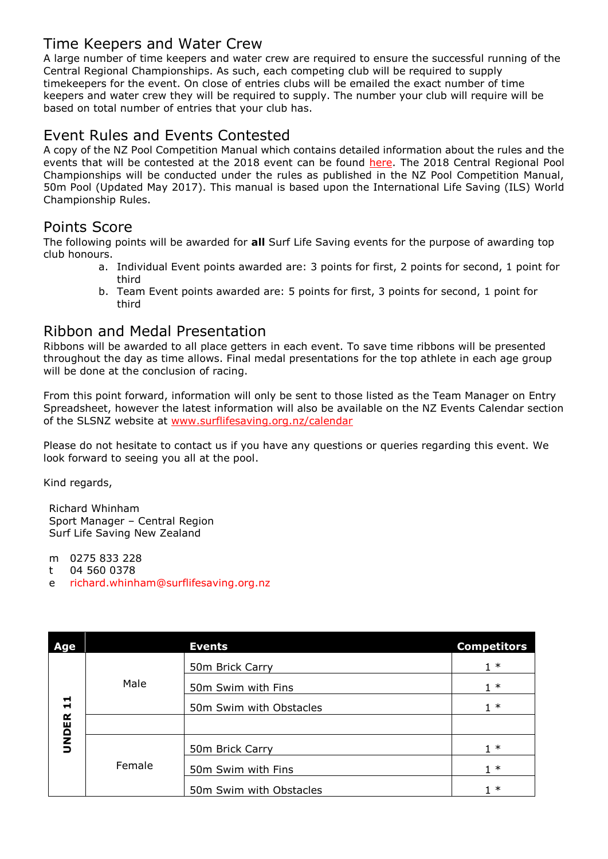# Time Keepers and Water Crew

A large number of time keepers and water crew are required to ensure the successful running of the Central Regional Championships. As such, each competing club will be required to supply timekeepers for the event. On close of entries clubs will be emailed the exact number of time keepers and water crew they will be required to supply. The number your club will require will be based on total number of entries that your club has.

# Event Rules and Events Contested

A copy of the NZ Pool Competition Manual which contains detailed information about the rules and the events that will be contested at the 2018 event can be found [here.](https://www.surflifesaving.org.nz/media/853941/SLSNZ_PoolCompetitionManual-50m-Pool-_May2017.pdf) The 2018 Central Regional Pool Championships will be conducted under the rules as published in the NZ Pool Competition Manual, 50m Pool (Updated May 2017). This manual is based upon the International Life Saving (ILS) World Championship Rules.

# Points Score

The following points will be awarded for **all** Surf Life Saving events for the purpose of awarding top club honours.

- a. Individual Event points awarded are: 3 points for first, 2 points for second, 1 point for third
- b. Team Event points awarded are: 5 points for first, 3 points for second, 1 point for third

# Ribbon and Medal Presentation

Ribbons will be awarded to all place getters in each event. To save time ribbons will be presented throughout the day as time allows. Final medal presentations for the top athlete in each age group will be done at the conclusion of racing.

From this point forward, information will only be sent to those listed as the Team Manager on Entry Spreadsheet, however the latest information will also be available on the NZ Events Calendar section of the SLSNZ website at [www.surflifesaving.org.nz/calendar](http://www.surflifesaving.org.nz/calendar)

Please do not hesitate to contact us if you have any questions or queries regarding this event. We look forward to seeing you all at the pool.

Kind regards,

Richard Whinham Sport Manager – Central Region Surf Life Saving New Zealand

m 0275 833 228

t 04 560 0378

e [richard.whinham@surflifesaving.org.nz](mailto:richard.whinham@surflifesaving.org.nz)

| Age                   |        | <b>Events</b>           | <b>Competitors</b> |
|-----------------------|--------|-------------------------|--------------------|
| $\mathbf{1}$<br>UNDER | Male   | 50m Brick Carry         | $1 *$              |
|                       |        | 50m Swim with Fins      | $1 *$              |
|                       |        | 50m Swim with Obstacles | $1 *$              |
|                       |        |                         |                    |
|                       | Female | 50m Brick Carry         | $1 *$              |
|                       |        | 50m Swim with Fins      | $1 *$              |
|                       |        | 50m Swim with Obstacles | $\ast$<br>1        |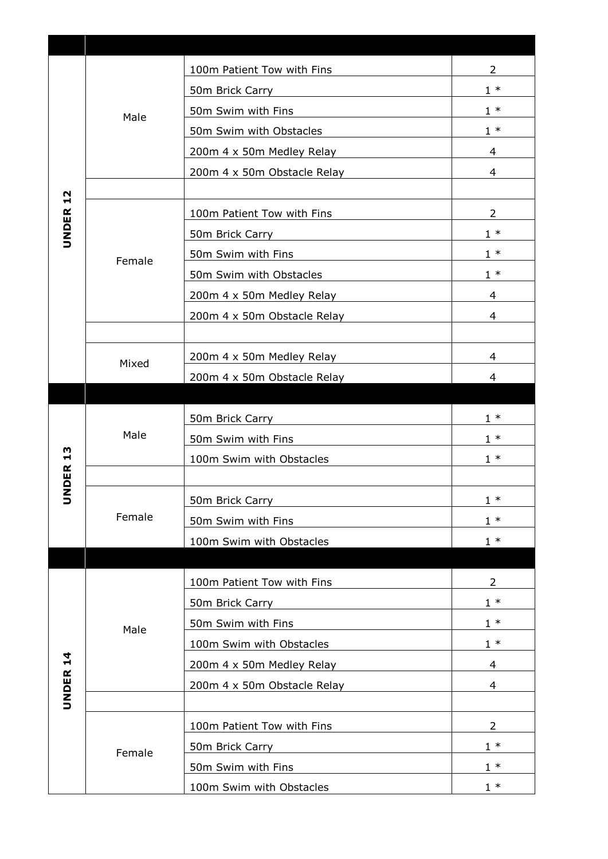|               | Male   | 100m Patient Tow with Fins                                                                                                                                                                                                                              | $\overline{2}$ |
|---------------|--------|---------------------------------------------------------------------------------------------------------------------------------------------------------------------------------------------------------------------------------------------------------|----------------|
|               |        | 50m Brick Carry                                                                                                                                                                                                                                         | $1 *$          |
|               |        | 50m Swim with Fins                                                                                                                                                                                                                                      | $1 *$          |
|               |        | 50m Swim with Obstacles<br><u> 1980 - Andrea Andrew Maria (h. 1980).</u>                                                                                                                                                                                | $1 *$          |
|               |        | 200m 4 x 50m Medley Relay                                                                                                                                                                                                                               | 4              |
|               |        | 200m 4 x 50m Obstacle Relay                                                                                                                                                                                                                             | $\overline{4}$ |
| $\frac{2}{3}$ |        |                                                                                                                                                                                                                                                         |                |
|               |        | 100m Patient Tow with Fins                                                                                                                                                                                                                              | $\overline{2}$ |
| <b>UNDER</b>  |        | 50m Brick Carry<br><u> 1989 - Andrea Station Barbara (h. 1989)</u>                                                                                                                                                                                      | $1 *$          |
|               | Female | 50m Swim with Fins                                                                                                                                                                                                                                      | $1 *$          |
|               |        | 50m Swim with Obstacles                                                                                                                                                                                                                                 | $1 *$          |
|               |        | 200m 4 x 50m Medley Relay                                                                                                                                                                                                                               | 4              |
|               |        | 200m 4 x 50m Obstacle Relay                                                                                                                                                                                                                             | $\overline{4}$ |
|               |        |                                                                                                                                                                                                                                                         |                |
|               | Mixed  | 200m 4 x 50m Medley Relay                                                                                                                                                                                                                               | 4              |
|               |        | 200m 4 x 50m Obstacle Relay                                                                                                                                                                                                                             | 4              |
|               |        |                                                                                                                                                                                                                                                         |                |
|               |        | 50m Brick Carry<br><u> 1989 - Andrea Stadt British Stadt British Stadt British Stadt British Stadt British Stadt British Stadt British Stadt British Stadt British Stadt British Stadt British Stadt British Stadt British Stadt British Stadt Brit</u> | $1 *$          |
|               | Male   | 50m Swim with Fins                                                                                                                                                                                                                                      | $1 *$          |
| ო<br>ᆏ        |        | 100m Swim with Obstacles                                                                                                                                                                                                                                | $1 *$          |
| <b>NDER</b>   |        |                                                                                                                                                                                                                                                         |                |
| ⋚             | Female | 50m Brick Carry                                                                                                                                                                                                                                         | $1 *$          |
|               |        | 50m Swim with Fins                                                                                                                                                                                                                                      | $1*$           |
|               |        | 100m Swim with Obstacles                                                                                                                                                                                                                                | $1 *$          |
|               |        |                                                                                                                                                                                                                                                         |                |
|               |        | 100m Patient Tow with Fins                                                                                                                                                                                                                              | 2              |
|               | Male   | 50m Brick Carry                                                                                                                                                                                                                                         | $1 *$          |
|               |        | 50m Swim with Fins                                                                                                                                                                                                                                      | $1 *$          |
|               |        | 100m Swim with Obstacles                                                                                                                                                                                                                                | $1 *$          |
|               |        | 200m 4 x 50m Medley Relay                                                                                                                                                                                                                               | 4              |
| UNDER 14      |        | 200m 4 x 50m Obstacle Relay                                                                                                                                                                                                                             | 4              |
|               |        |                                                                                                                                                                                                                                                         |                |
|               | Female | 100m Patient Tow with Fins                                                                                                                                                                                                                              | $\overline{2}$ |
|               |        | 50m Brick Carry                                                                                                                                                                                                                                         | $1 *$          |
|               |        | 50m Swim with Fins                                                                                                                                                                                                                                      | $1 *$          |
|               |        | 100m Swim with Obstacles                                                                                                                                                                                                                                | $1 *$          |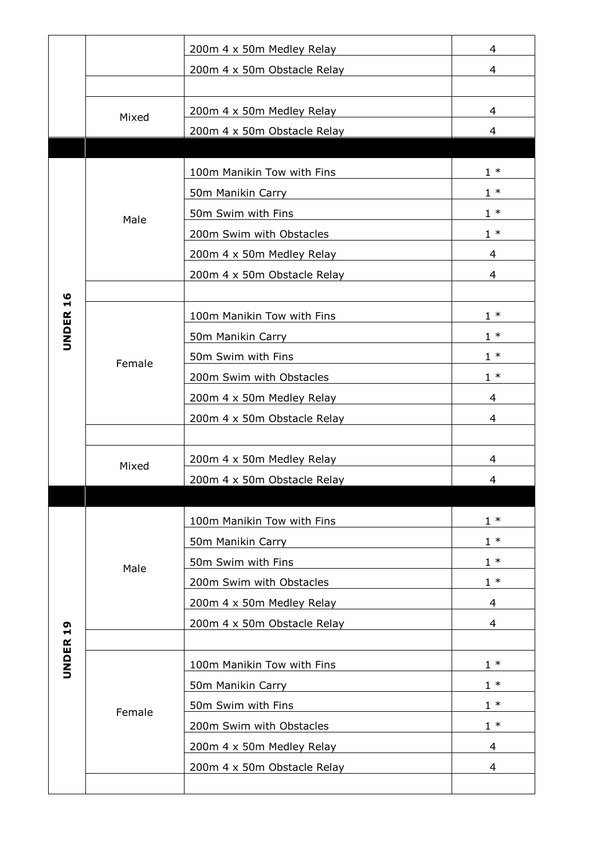|                     |        | 200m 4 x 50m Medley Relay<br><u>and the community of the community</u> | 4              |
|---------------------|--------|------------------------------------------------------------------------|----------------|
|                     |        | 200m 4 x 50m Obstacle Relay                                            | $\overline{4}$ |
|                     |        |                                                                        |                |
|                     | Mixed  | 200m 4 x 50m Medley Relay                                              | 4              |
|                     |        | 200m 4 x 50m Obstacle Relay                                            | 4              |
|                     |        |                                                                        |                |
|                     |        | 100m Manikin Tow with Fins                                             | $1 *$          |
|                     |        | 50m Manikin Carry                                                      | $1 *$          |
|                     | Male   | 50m Swim with Fins                                                     | $1 *$          |
|                     |        | 200m Swim with Obstacles                                               | $1*$           |
|                     |        | 200m 4 x 50m Medley Relay                                              | 4              |
|                     |        | 200m 4 x 50m Obstacle Relay                                            | 4              |
|                     |        |                                                                        |                |
| UNDER <sub>16</sub> |        | 100m Manikin Tow with Fins                                             | $1 *$          |
|                     |        | 50m Manikin Carry                                                      | $1 *$          |
|                     | Female | 50m Swim with Fins                                                     | $1*$           |
|                     |        | 200m Swim with Obstacles                                               | $1 *$          |
|                     |        | 200m 4 x 50m Medley Relay                                              | 4              |
|                     |        | 200m 4 x 50m Obstacle Relay                                            | 4              |
|                     |        |                                                                        |                |
|                     | Mixed  | 200m 4 x 50m Medley Relay                                              | 4              |
|                     |        | 200m 4 x 50m Obstacle Relay                                            | $\overline{4}$ |
|                     |        |                                                                        |                |
|                     |        | 100m Manikin Tow with Fins                                             | $1 *$          |
|                     | Male   | 50m Manikin Carry                                                      | $1 *$          |
|                     |        | 50m Swim with Fins                                                     | $1 *$          |
|                     |        | 200m Swim with Obstacles                                               | $1 *$          |
|                     |        | 200m 4 x 50m Medley Relay                                              | 4              |
|                     |        | 200m 4 x 50m Obstacle Relay                                            | 4              |
|                     |        |                                                                        |                |
| UNDER <sub>19</sub> |        | 100m Manikin Tow with Fins                                             | $1 *$          |
|                     |        | 50m Manikin Carry                                                      | $1 *$          |
|                     | Female | 50m Swim with Fins                                                     | $1 *$          |
|                     |        | 200m Swim with Obstacles                                               | $1 *$          |
|                     |        | 200m 4 x 50m Medley Relay                                              | 4              |
|                     |        | 200m 4 x 50m Obstacle Relay                                            | 4              |
|                     |        |                                                                        |                |